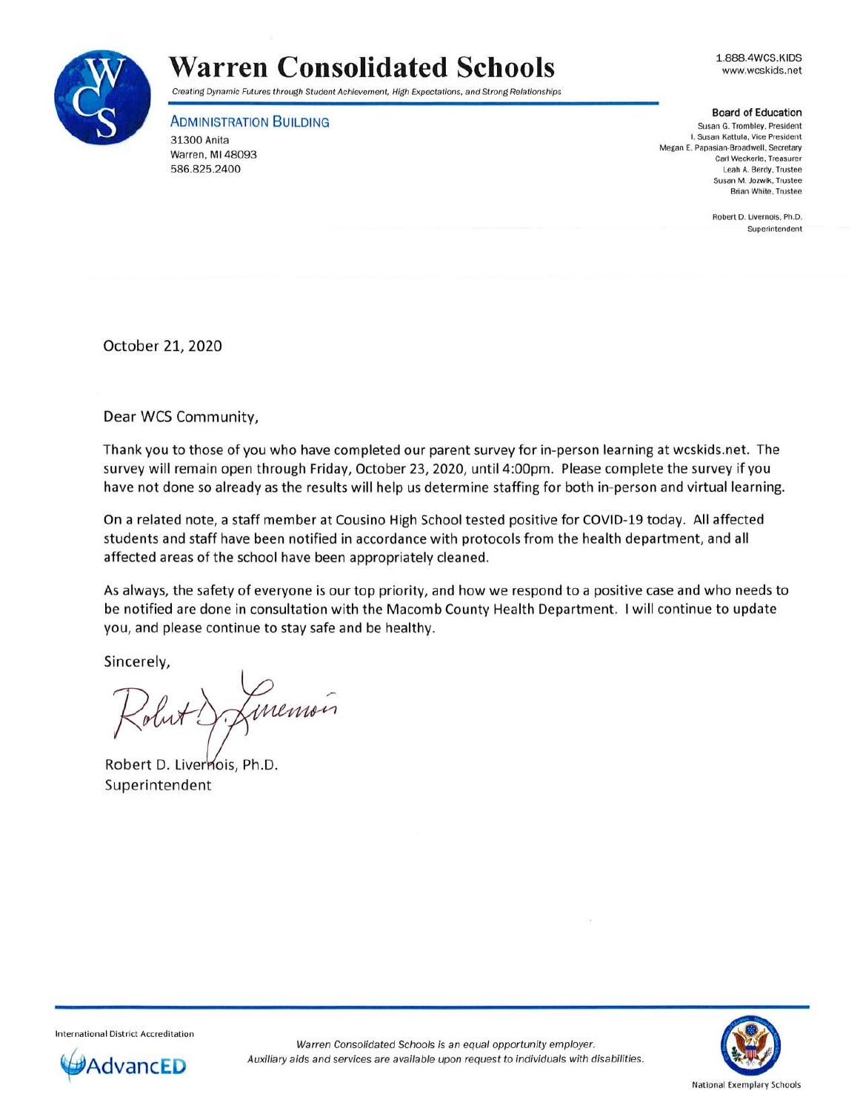

## **Warren Consolidated Schools**

Creating Dynamic Futures through Student Achievement, High Expectations, and Strong Relationships

ADMINISTRATION BUILDING

31300 Anita Warren, Ml 48093 586.825.2400

1.888.4WCS.KIDS www.wcskids.net

## Board of Education

**Susan G. Trombley. President I. Susan Kattula. Vice President Megan E. Papasian-Broadwell. Secretary Carl Weckerle, Treasurer**  Leah A. Berdy, Trustee **Susan M. Jozwik, Trustee Brian White, Trustee** 

> Robert D. Livernois. Ph.D. **Superintendent**

October 21, 2020

Dear WCS Community,

Thank you to those of you who have completed our parent survey for in-person learning at wcskids.net. The survey will remain open through Friday, October 23, 2020, until 4:00pm. Please complete the survey if you have not done so already as the results will help us determine staffing for both in-person and virtual learning.

On a related note, a staff member at Cousino High School tested positive for COVID-19 today. All affected students and staff have been notified in accordance with protocols from the health department, and all affected areas of the school have been appropriately cleaned .

As always, the safety of everyone is our top priority, and how we respond to a positive case and who needs to be notified are done in consultation with the Macomb County Health Department. I will continue to update you, and please continue to stay safe and be healthy.

Sincerely,

memois

Robert D. Livernois, Ph.D. Superintendent

Internation al District Accreditation